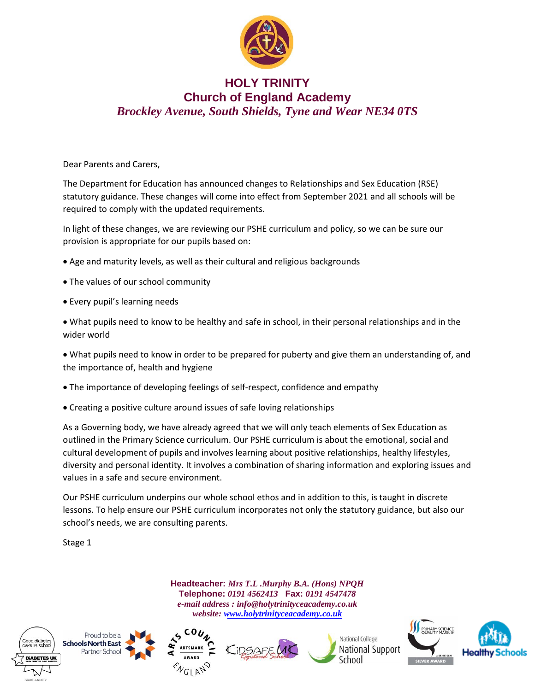

## **HOLY TRINITY Church of England Academy** *Brockley Avenue, South Shields, Tyne and Wear NE34 0TS*

Dear Parents and Carers,

The Department for Education has announced changes to Relationships and Sex Education (RSE) statutory guidance. These changes will come into effect from September 2021 and all schools will be required to comply with the updated requirements.

In light of these changes, we are reviewing our PSHE curriculum and policy, so we can be sure our provision is appropriate for our pupils based on:

- Age and maturity levels, as well as their cultural and religious backgrounds
- The values of our school community
- Every pupil's learning needs

• What pupils need to know to be healthy and safe in school, in their personal relationships and in the wider world

• What pupils need to know in order to be prepared for puberty and give them an understanding of, and the importance of, health and hygiene

- The importance of developing feelings of self-respect, confidence and empathy
- Creating a positive culture around issues of safe loving relationships

As a Governing body, we have already agreed that we will only teach elements of Sex Education as outlined in the Primary Science curriculum. Our PSHE curriculum is about the emotional, social and cultural development of pupils and involves learning about positive relationships, healthy lifestyles, diversity and personal identity. It involves a combination of sharing information and exploring issues and values in a safe and secure environment.

Our PSHE curriculum underpins our whole school ethos and in addition to this, is taught in discrete lessons. To help ensure our PSHE curriculum incorporates not only the statutory guidance, but also our school's needs, we are consulting parents.

Stage 1

**Headteacher:** *Mrs T.L .Murphy B.A. (Hons) NPQH* **Telephone:** *0191 4562413* **Fax:** *0191 4547478 e-mail address : info@holytrinityceacademy.co.uk website: [www.holytrinityceacademy.co.uk](http://www.holytrinityceacademy.co.uk/)*









National College National Support